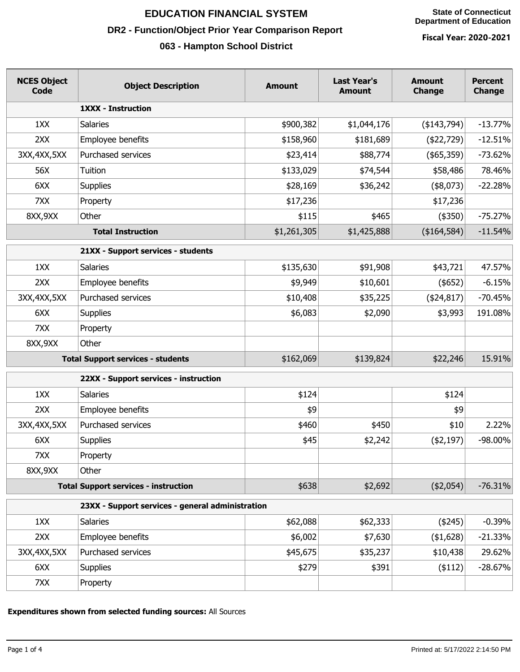**State of Connecticut Department of Education**

# **EDUCATION FINANCIAL SYSTEM**

## **DR2 - Function/Object Prior Year Comparison Report**

## **063 - Hampton School District**

**Fiscal Year: 2020-2021**

| <b>NCES Object</b><br><b>Code</b> | <b>Object Description</b>                        | <b>Amount</b> | <b>Last Year's</b><br><b>Amount</b> | <b>Amount</b><br><b>Change</b> | <b>Percent</b><br><b>Change</b> |
|-----------------------------------|--------------------------------------------------|---------------|-------------------------------------|--------------------------------|---------------------------------|
|                                   | <b>1XXX - Instruction</b>                        |               |                                     |                                |                                 |
| 1XX                               | <b>Salaries</b>                                  | \$900,382     | \$1,044,176                         | (\$143,794)                    | $-13.77%$                       |
| 2XX                               | Employee benefits                                | \$158,960     | \$181,689                           | $(*22,729)$                    | $-12.51%$                       |
| 3XX, 4XX, 5XX                     | Purchased services                               | \$23,414      | \$88,774                            | (\$65,359)                     | $-73.62%$                       |
| 56X                               | Tuition                                          | \$133,029     | \$74,544                            | \$58,486                       | 78.46%                          |
| 6XX                               | <b>Supplies</b>                                  | \$28,169      | \$36,242                            | $(*8,073)$                     | $-22.28%$                       |
| 7XX                               | Property                                         | \$17,236      |                                     | \$17,236                       |                                 |
| 8XX, 9XX                          | Other                                            | \$115         | \$465                               | $(*350)$                       | $-75.27%$                       |
| <b>Total Instruction</b>          |                                                  | \$1,261,305   | \$1,425,888                         | (\$164,584)                    | $-11.54%$                       |
|                                   | 21XX - Support services - students               |               |                                     |                                |                                 |
| 1XX                               | <b>Salaries</b>                                  | \$135,630     | \$91,908                            | \$43,721                       | 47.57%                          |
| 2XX                               | Employee benefits                                | \$9,949       | \$10,601                            | $($ \$652)                     | $-6.15%$                        |
| 3XX, 4XX, 5XX                     | Purchased services                               | \$10,408      | \$35,225                            | ( \$24, 817)                   | $-70.45%$                       |
| 6XX                               | <b>Supplies</b>                                  | \$6,083       | \$2,090                             | \$3,993                        | 191.08%                         |
| 7XX                               | Property                                         |               |                                     |                                |                                 |
| 8XX, 9XX                          | Other                                            |               |                                     |                                |                                 |
|                                   | <b>Total Support services - students</b>         | \$162,069     | \$139,824                           | \$22,246                       | 15.91%                          |
|                                   | 22XX - Support services - instruction            |               |                                     |                                |                                 |
| 1XX                               | <b>Salaries</b>                                  | \$124         |                                     | \$124                          |                                 |
| 2XX                               | Employee benefits                                | \$9           |                                     | \$9                            |                                 |
| 3XX, 4XX, 5XX                     | Purchased services                               | \$460         | \$450                               | \$10                           | 2.22%                           |
| 6XX                               | <b>Supplies</b>                                  | \$45          | \$2,242                             | (42, 197)                      | -98.00%                         |
| 7XX                               | Property                                         |               |                                     |                                |                                 |
| 8XX, 9XX                          | Other                                            |               |                                     |                                |                                 |
|                                   | <b>Total Support services - instruction</b>      | \$638         | \$2,692                             | $(*2,054)$                     | $-76.31%$                       |
|                                   | 23XX - Support services - general administration |               |                                     |                                |                                 |
| 1XX                               | <b>Salaries</b>                                  | \$62,088      | \$62,333                            | (4245)                         | $-0.39%$                        |
| 2XX                               | Employee benefits                                | \$6,002       | \$7,630                             | (41, 628)                      | $-21.33%$                       |
| 3XX, 4XX, 5XX                     | Purchased services                               | \$45,675      | \$35,237                            | \$10,438                       | 29.62%                          |
| 6XX                               | <b>Supplies</b>                                  | \$279         | \$391                               | $($ \$112)                     | $-28.67%$                       |
| 7XX                               | Property                                         |               |                                     |                                |                                 |
|                                   |                                                  |               |                                     |                                |                                 |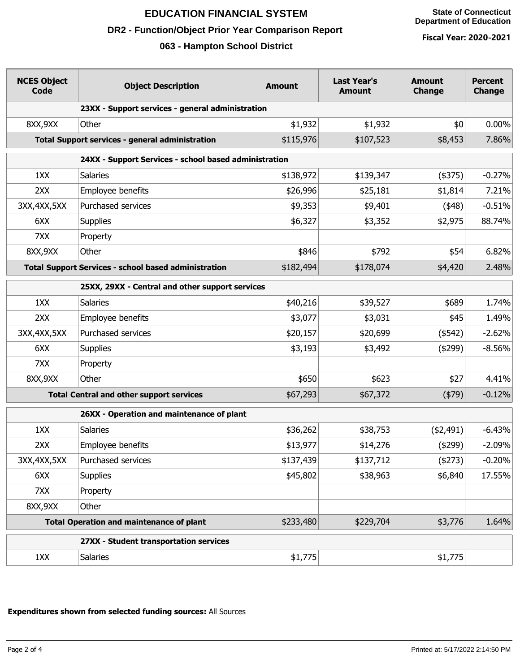#### **State of Connecticut Department of Education**

# **EDUCATION FINANCIAL SYSTEM**

## **DR2 - Function/Object Prior Year Comparison Report**

## **063 - Hampton School District**

**Fiscal Year: 2020-2021**

| <b>NCES Object</b><br><b>Code</b>                           | <b>Object Description</b>                        | <b>Amount</b> | <b>Last Year's</b><br><b>Amount</b> | <b>Amount</b><br><b>Change</b> | <b>Percent</b><br><b>Change</b> |
|-------------------------------------------------------------|--------------------------------------------------|---------------|-------------------------------------|--------------------------------|---------------------------------|
|                                                             | 23XX - Support services - general administration |               |                                     |                                |                                 |
| 8XX, 9XX                                                    | Other                                            | \$1,932       | \$1,932                             | \$0                            | $0.00\%$                        |
|                                                             | Total Support services - general administration  | \$115,976     | \$107,523                           | \$8,453                        | 7.86%                           |
| 24XX - Support Services - school based administration       |                                                  |               |                                     |                                |                                 |
| 1XX                                                         | <b>Salaries</b>                                  | \$138,972     | \$139,347                           | (4375)                         | $-0.27%$                        |
| 2XX                                                         | Employee benefits                                | \$26,996      | \$25,181                            | \$1,814                        | 7.21%                           |
| 3XX, 4XX, 5XX                                               | Purchased services                               | \$9,353       | \$9,401                             | (448)                          | $-0.51%$                        |
| 6XX                                                         | <b>Supplies</b>                                  | \$6,327       | \$3,352                             | \$2,975                        | 88.74%                          |
| 7XX                                                         | Property                                         |               |                                     |                                |                                 |
| 8XX, 9XX                                                    | Other                                            | \$846         | \$792                               | \$54                           | 6.82%                           |
| <b>Total Support Services - school based administration</b> |                                                  | \$182,494     | \$178,074                           | \$4,420                        | 2.48%                           |
| 25XX, 29XX - Central and other support services             |                                                  |               |                                     |                                |                                 |
| 1XX                                                         | <b>Salaries</b>                                  | \$40,216      | \$39,527                            | \$689                          | 1.74%                           |
| 2XX                                                         | Employee benefits                                | \$3,077       | \$3,031                             | \$45                           | 1.49%                           |
| 3XX, 4XX, 5XX                                               | Purchased services                               | \$20,157      | \$20,699                            | $(*542)$                       | $-2.62%$                        |
| 6XX                                                         | <b>Supplies</b>                                  | \$3,193       | \$3,492                             | (4299)                         | $-8.56%$                        |
| 7XX                                                         | Property                                         |               |                                     |                                |                                 |
| 8XX, 9XX                                                    | Other                                            | \$650         | \$623                               | \$27                           | 4.41%                           |
| <b>Total Central and other support services</b>             |                                                  | \$67,293      | \$67,372                            | (479)                          | $-0.12%$                        |
| 26XX - Operation and maintenance of plant                   |                                                  |               |                                     |                                |                                 |
| 1XX                                                         | <b>Salaries</b>                                  | \$36,262      | \$38,753                            | (42, 491)                      | $-6.43%$                        |
| 2XX                                                         | Employee benefits                                | \$13,977      | \$14,276                            | (4299)                         | $-2.09%$                        |
| 3XX, 4XX, 5XX                                               | Purchased services                               | \$137,439     | \$137,712                           | (4273)                         | $-0.20%$                        |
| 6XX                                                         | <b>Supplies</b>                                  | \$45,802      | \$38,963                            | \$6,840                        | 17.55%                          |
| 7XX                                                         | Property                                         |               |                                     |                                |                                 |
| 8XX, 9XX                                                    | Other                                            |               |                                     |                                |                                 |
| <b>Total Operation and maintenance of plant</b>             |                                                  | \$233,480     | \$229,704                           | \$3,776                        | 1.64%                           |
|                                                             | 27XX - Student transportation services           |               |                                     |                                |                                 |
| 1XX                                                         | <b>Salaries</b>                                  | \$1,775       |                                     | \$1,775                        |                                 |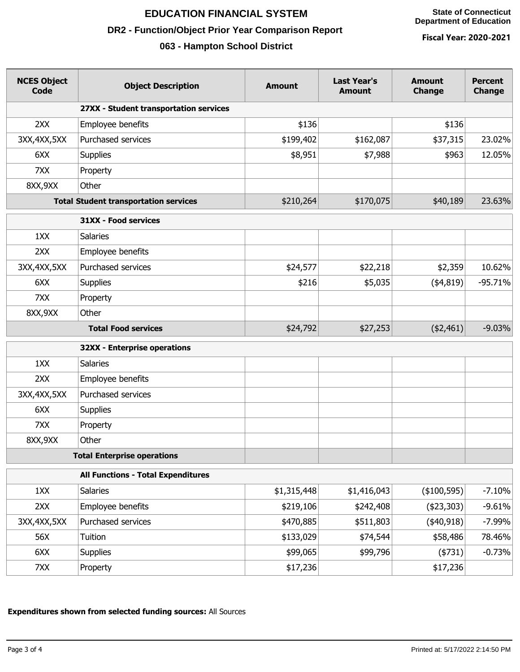## **EDUCATION FINANCIAL SYSTEM**

## **DR2 - Function/Object Prior Year Comparison Report**

## **063 - Hampton School District**

**Fiscal Year: 2020-2021**

| <b>NCES Object</b><br><b>Code</b> | <b>Object Description</b>                    | <b>Amount</b> | <b>Last Year's</b><br><b>Amount</b> | <b>Amount</b><br><b>Change</b> | <b>Percent</b><br><b>Change</b> |
|-----------------------------------|----------------------------------------------|---------------|-------------------------------------|--------------------------------|---------------------------------|
|                                   | 27XX - Student transportation services       |               |                                     |                                |                                 |
| 2XX                               | Employee benefits                            | \$136         |                                     | \$136                          |                                 |
| 3XX, 4XX, 5XX                     | Purchased services                           | \$199,402     | \$162,087                           | \$37,315                       | 23.02%                          |
| 6XX                               | <b>Supplies</b>                              | \$8,951       | \$7,988                             | \$963                          | 12.05%                          |
| 7XX                               | Property                                     |               |                                     |                                |                                 |
| 8XX, 9XX                          | Other                                        |               |                                     |                                |                                 |
|                                   | <b>Total Student transportation services</b> | \$210,264     | \$170,075                           | \$40,189                       | 23.63%                          |
|                                   | 31XX - Food services                         |               |                                     |                                |                                 |
| 1XX                               | Salaries                                     |               |                                     |                                |                                 |
| 2XX                               | Employee benefits                            |               |                                     |                                |                                 |
| 3XX, 4XX, 5XX                     | Purchased services                           | \$24,577      | \$22,218                            | \$2,359                        | 10.62%                          |
| 6XX                               | <b>Supplies</b>                              | \$216         | \$5,035                             | (4,819)                        | $-95.71%$                       |
| 7XX                               | Property                                     |               |                                     |                                |                                 |
| 8XX, 9XX                          | Other                                        |               |                                     |                                |                                 |
|                                   | <b>Total Food services</b>                   | \$24,792      | \$27,253                            | ( \$2,461)                     | $-9.03%$                        |
|                                   | <b>32XX - Enterprise operations</b>          |               |                                     |                                |                                 |
| 1XX                               | <b>Salaries</b>                              |               |                                     |                                |                                 |
| 2XX                               | Employee benefits                            |               |                                     |                                |                                 |
| 3XX, 4XX, 5XX                     | Purchased services                           |               |                                     |                                |                                 |
| 6XX                               | <b>Supplies</b>                              |               |                                     |                                |                                 |
| 7XX                               | Property                                     |               |                                     |                                |                                 |
| 8XX, 9XX                          | Other                                        |               |                                     |                                |                                 |
|                                   | <b>Total Enterprise operations</b>           |               |                                     |                                |                                 |
|                                   | <b>All Functions - Total Expenditures</b>    |               |                                     |                                |                                 |
| 1XX                               | Salaries                                     | \$1,315,448   | \$1,416,043                         | (\$100,595)                    | $-7.10%$                        |
| 2XX                               | Employee benefits                            | \$219,106     | \$242,408                           | (423,303)                      | $-9.61%$                        |
| 3XX, 4XX, 5XX                     | Purchased services                           | \$470,885     | \$511,803                           | $(*40,918)$                    | $-7.99%$                        |
| 56X                               | Tuition                                      | \$133,029     | \$74,544                            | \$58,486                       | 78.46%                          |
| 6XX                               | <b>Supplies</b>                              | \$99,065      | \$99,796                            | (4731)                         | $-0.73%$                        |
| 7XX                               | Property                                     | \$17,236      |                                     | \$17,236                       |                                 |